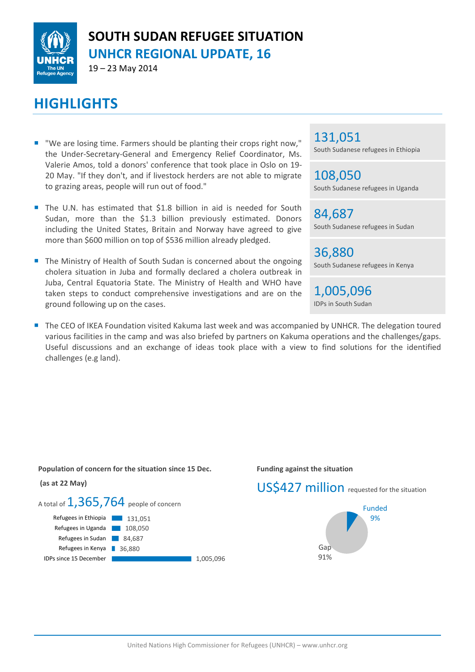

# **SOUTH SUDAN REFUGEE SITUATION UNHCR REGIONAL UPDATE, 16**

19 – 23 May 2014

# **HIGHLIGHTS**

- "We are losing time. Farmers should be planting their crops right now," the Under-Secretary-General and Emergency Relief Coordinator, Ms. Valerie Amos, told a donors' conference that took place in Oslo on 19- 20 May. "If they don't, and if livestock herders are not able to migrate to grazing areas, people will run out of food."
- The U.N. has estimated that \$1.8 billion in aid is needed for South Sudan, more than the \$1.3 billion previously estimated. Donors including the United States, Britain and Norway have agreed to give more than \$600 million on top of \$536 million already pledged.
- The Ministry of Health of South Sudan is concerned about the ongoing cholera situation in Juba and formally declared a cholera outbreak in Juba, Central Equatoria State. The Ministry of Health and WHO have taken steps to conduct comprehensive investigations and are on the ground following up on the cases.

### 131,051

South Sudanese refugees in Ethiopia

108,050 South Sudanese refugees in Uganda

84,687 South Sudanese refugees in Sudan

36,880 South Sudanese refugees in Kenya

1,005,096 IDPs in South Sudan

 The CEO of IKEA Foundation visited Kakuma last week and was accompanied by UNHCR. The delegation toured various facilities in the camp and was also briefed by partners on Kakuma operations and the challenges/gaps. Useful discussions and an exchange of ideas took place with a view to find solutions for the identified challenges (e.g land).

**Population of concern for the situation since 15 Dec.**



**Funding against the situation**

US\$427 million requested for the situation

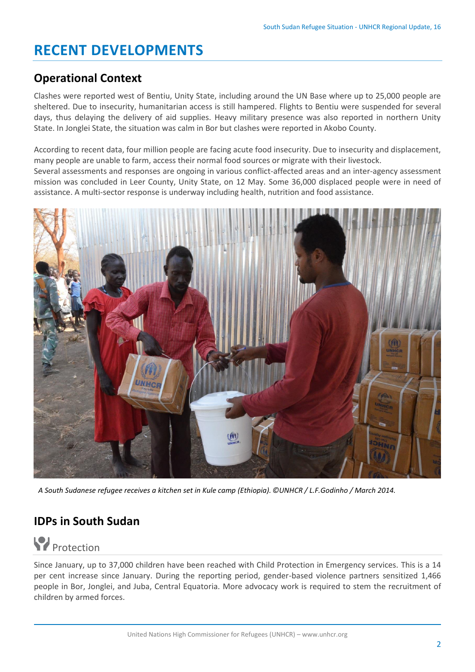# **RECENT DEVELOPMENTS**

### **Operational Context**

Clashes were reported west of Bentiu, Unity State, including around the UN Base where up to 25,000 people are sheltered. Due to insecurity, humanitarian access is still hampered. Flights to Bentiu were suspended for several days, thus delaying the delivery of aid supplies. Heavy military presence was also reported in northern Unity State. In Jonglei State, the situation was calm in Bor but clashes were reported in Akobo County.

According to recent data, four million people are facing acute food insecurity. Due to insecurity and displacement, many people are unable to farm, access their normal food sources or migrate with their livestock. Several assessments and responses are ongoing in various conflict-affected areas and an inter-agency assessment mission was concluded in Leer County, Unity State, on 12 May. Some 36,000 displaced people were in need of assistance. A multi-sector response is underway including health, nutrition and food assistance.



*A South Sudanese refugee receives a kitchen set in Kule camp (Ethiopia). ©UNHCR / L.F.Godinho / March 2014.*

## **IDPs in South Sudan**



Since January, up to 37,000 children have been reached with Child Protection in Emergency services. This is a 14 per cent increase since January. During the reporting period, gender-based violence partners sensitized 1,466 people in Bor, Jonglei, and Juba, Central Equatoria. More advocacy work is required to stem the recruitment of children by armed forces.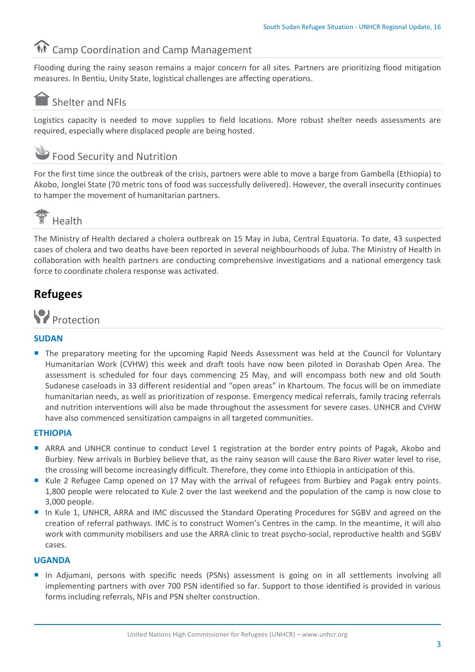## **M** Camp Coordination and Camp Management

Flooding during the rainy season remains a major concern for all sites. Partners are prioritizing flood mitigation measures. In Bentiu, Unity State, logistical challenges are affecting operations.



### Shelter and NFIs

Logistics capacity is needed to move supplies to field locations. More robust shelter needs assessments are required, especially where displaced people are being hosted.

## Food Security and Nutrition

For the first time since the outbreak of the crisis, partners were able to move a barge from Gambella (Ethiopia) to Akobo, Jonglei State (70 metric tons of food was successfully delivered). However, the overall insecurity continues to hamper the movement of humanitarian partners.



The Ministry of Health declared a cholera outbreak on 15 May in Juba, Central Equatoria. To date, 43 suspected cases of cholera and two deaths have been reported in several neighbourhoods of Juba. The Ministry of Health in collaboration with health partners are conducting comprehensive investigations and a national emergency task force to coordinate cholera response was activated.

## **Refugees**



#### **SUDAN**

**The preparatory meeting for the upcoming Rapid Needs Assessment was held at the Council for Voluntary** Humanitarian Work (CVHW) this week and draft tools have now been piloted in Dorashab Open Area. The assessment is scheduled for four days commencing 25 May, and will encompass both new and old South Sudanese caseloads in 33 different residential and "open areas" in Khartoum. The focus will be on immediate humanitarian needs, as well as prioritization of response. Emergency medical referrals, family tracing referrals and nutrition interventions will also be made throughout the assessment for severe cases. UNHCR and CVHW have also commenced sensitization campaigns in all targeted communities.

#### **ETHIOPIA**

- ARRA and UNHCR continue to conduct Level 1 registration at the border entry points of Pagak, Akobo and Burbiey. New arrivals in Burbiey believe that, as the rainy season will cause the Baro River water level to rise, the crossing will become increasingly difficult. Therefore, they come into Ethiopia in anticipation of this.
- Kule 2 Refugee Camp opened on 17 May with the arrival of refugees from Burbiey and Pagak entry points. 1,800 people were relocated to Kule 2 over the last weekend and the population of the camp is now close to 3,000 people.
- In Kule 1, UNHCR, ARRA and IMC discussed the Standard Operating Procedures for SGBV and agreed on the creation of referral pathways. IMC is to construct Women's Centres in the camp. In the meantime, it will also work with community mobilisers and use the ARRA clinic to treat psycho-social, reproductive health and SGBV cases.

#### **UGANDA**

 In Adjumani, persons with specific needs (PSNs) assessment is going on in all settlements involving all implementing partners with over 700 PSN identified so far. Support to those identified is provided in various forms including referrals, NFIs and PSN shelter construction.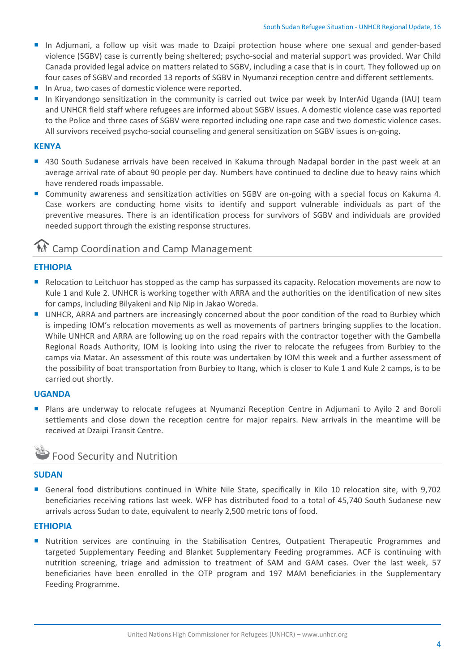- In Adjumani, a follow up visit was made to Dzaipi protection house where one sexual and gender-based violence (SGBV) case is currently being sheltered; psycho-social and material support was provided. War Child Canada provided legal advice on matters related to SGBV, including a case that is in court. They followed up on four cases of SGBV and recorded 13 reports of SGBV in Nyumanzi reception centre and different settlements.
- In Arua, two cases of domestic violence were reported.
- In Kiryandongo sensitization in the community is carried out twice par week by InterAid Uganda (IAU) team and UNHCR field staff where refugees are informed about SGBV issues. A domestic violence case was reported to the Police and three cases of SGBV were reported including one rape case and two domestic violence cases. All survivors received psycho-social counseling and general sensitization on SGBV issues is on-going.

#### **KENYA**

- 430 South Sudanese arrivals have been received in Kakuma through Nadapal border in the past week at an average arrival rate of about 90 people per day. Numbers have continued to decline due to heavy rains which have rendered roads impassable.
- **Community awareness and sensitization activities on SGBV are on-going with a special focus on Kakuma 4.** Case workers are conducting home visits to identify and support vulnerable individuals as part of the preventive measures. There is an identification process for survivors of SGBV and individuals are provided needed support through the existing response structures.

## **M** Camp Coordination and Camp Management

#### **ETHIOPIA**

- Relocation to Leitchuor has stopped as the camp has surpassed its capacity. Relocation movements are now to Kule 1 and Kule 2. UNHCR is working together with ARRA and the authorities on the identification of new sites for camps, including Bilyakeni and Nip Nip in Jakao Woreda.
- UNHCR, ARRA and partners are increasingly concerned about the poor condition of the road to Burbiey which is impeding IOM's relocation movements as well as movements of partners bringing supplies to the location. While UNHCR and ARRA are following up on the road repairs with the contractor together with the Gambella Regional Roads Authority, IOM is looking into using the river to relocate the refugees from Burbiey to the camps via Matar. An assessment of this route was undertaken by IOM this week and a further assessment of the possibility of boat transportation from Burbiey to Itang, which is closer to Kule 1 and Kule 2 camps, is to be carried out shortly.

#### **UGANDA**

**Plans are underway to relocate refugees at Nyumanzi Reception Centre in Adjumani to Ayilo 2 and Boroli** settlements and close down the reception centre for major repairs. New arrivals in the meantime will be received at Dzaipi Transit Centre.

### Food Security and Nutrition

#### **SUDAN**

General food distributions continued in White Nile State, specifically in Kilo 10 relocation site, with 9,702 beneficiaries receiving rations last week. WFP has distributed food to a total of 45,740 South Sudanese new arrivals across Sudan to date, equivalent to nearly 2,500 metric tons of food.

#### **ETHIOPIA**

**Nutrition services are continuing in the Stabilisation Centres, Outpatient Therapeutic Programmes and** targeted Supplementary Feeding and Blanket Supplementary Feeding programmes. ACF is continuing with nutrition screening, triage and admission to treatment of SAM and GAM cases. Over the last week, 57 beneficiaries have been enrolled in the OTP program and 197 MAM beneficiaries in the Supplementary Feeding Programme.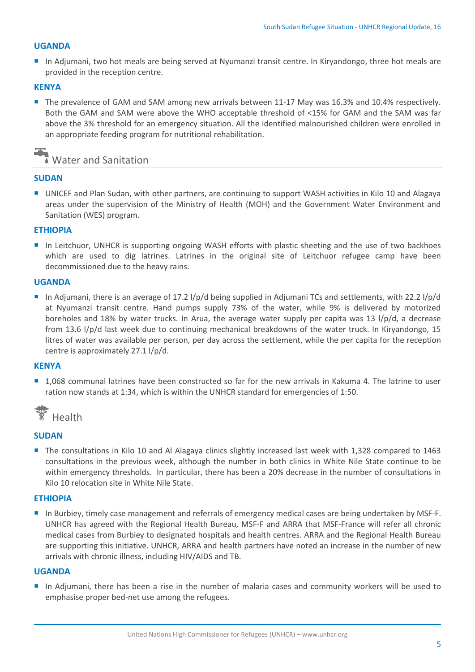#### **UGANDA**

In Adjumani, two hot meals are being served at Nyumanzi transit centre. In Kiryandongo, three hot meals are provided in the reception centre.

#### **KENYA**

■ The prevalence of GAM and SAM among new arrivals between 11-17 May was 16.3% and 10.4% respectively. Both the GAM and SAM were above the WHO acceptable threshold of <15% for GAM and the SAM was far above the 3% threshold for an emergency situation. All the identified malnourished children were enrolled in an appropriate feeding program for nutritional rehabilitation.

# Water and Sanitation

#### **SUDAN**

 UNICEF and Plan Sudan, with other partners, are continuing to support WASH activities in Kilo 10 and Alagaya areas under the supervision of the Ministry of Health (MOH) and the Government Water Environment and Sanitation (WES) program.

#### **ETHIOPIA**

In Leitchuor, UNHCR is supporting ongoing WASH efforts with plastic sheeting and the use of two backhoes which are used to dig latrines. Latrines in the original site of Leitchuor refugee camp have been decommissioned due to the heavy rains.

#### **UGANDA**

In Adjumani, there is an average of 17.2  $1/p/d$  being supplied in Adjumani TCs and settlements, with 22.2  $1/p/d$ at Nyumanzi transit centre. Hand pumps supply 73% of the water, while 9% is delivered by motorized boreholes and 18% by water trucks. In Arua, the average water supply per capita was 13 l/p/d, a decrease from 13.6 l/p/d last week due to continuing mechanical breakdowns of the water truck. In Kiryandongo, 15 litres of water was available per person, per day across the settlement, while the per capita for the reception centre is approximately 27.1 l/p/d.

#### **KENYA**

**1.068 communal latrines have been constructed so far for the new arrivals in Kakuma 4. The latrine to user** ration now stands at 1:34, which is within the UNHCR standard for emergencies of 1:50.



#### **SUDAN**

The consultations in Kilo 10 and Al Alagaya clinics slightly increased last week with 1,328 compared to 1463 consultations in the previous week, although the number in both clinics in White Nile State continue to be within emergency thresholds. In particular, there has been a 20% decrease in the number of consultations in Kilo 10 relocation site in White Nile State.

#### **ETHIOPIA**

In Burbiey, timely case management and referrals of emergency medical cases are being undertaken by MSF-F. UNHCR has agreed with the Regional Health Bureau, MSF-F and ARRA that MSF-France will refer all chronic medical cases from Burbiey to designated hospitals and health centres. ARRA and the Regional Health Bureau are supporting this initiative. UNHCR, ARRA and health partners have noted an increase in the number of new arrivals with chronic illness, including HIV/AIDS and TB.

#### **UGANDA**

 In Adjumani, there has been a rise in the number of malaria cases and community workers will be used to emphasise proper bed-net use among the refugees.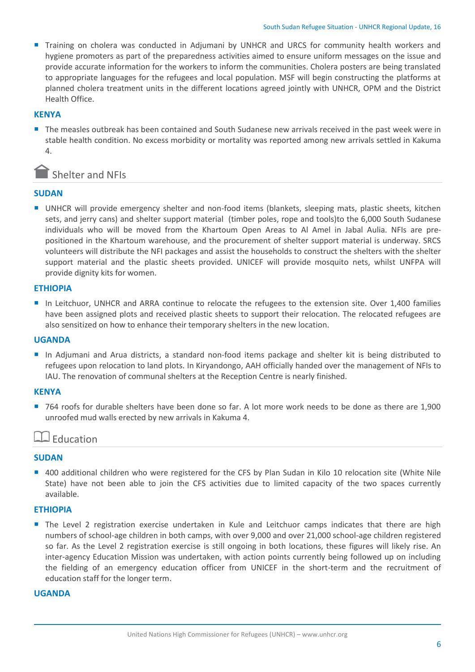**T** Training on cholera was conducted in Adjumani by UNHCR and URCS for community health workers and hygiene promoters as part of the preparedness activities aimed to ensure uniform messages on the issue and provide accurate information for the workers to inform the communities. Cholera posters are being translated to appropriate languages for the refugees and local population. MSF will begin constructing the platforms at planned cholera treatment units in the different locations agreed jointly with UNHCR, OPM and the District Health Office.

#### **KENYA**

■ The measles outbreak has been contained and South Sudanese new arrivals received in the past week were in stable health condition. No excess morbidity or mortality was reported among new arrivals settled in Kakuma 4.

### Shelter and NFIs

#### **SUDAN**

 UNHCR will provide emergency shelter and non-food items (blankets, sleeping mats, plastic sheets, kitchen sets, and jerry cans) and shelter support material (timber poles, rope and tools)to the 6,000 South Sudanese individuals who will be moved from the Khartoum Open Areas to Al Amel in Jabal Aulia. NFIs are prepositioned in the Khartoum warehouse, and the procurement of shelter support material is underway. SRCS volunteers will distribute the NFI packages and assist the households to construct the shelters with the shelter support material and the plastic sheets provided. UNICEF will provide mosquito nets, whilst UNFPA will provide dignity kits for women.

#### **ETHIOPIA**

In Leitchuor, UNHCR and ARRA continue to relocate the refugees to the extension site. Over 1,400 families have been assigned plots and received plastic sheets to support their relocation. The relocated refugees are also sensitized on how to enhance their temporary shelters in the new location.

#### **UGANDA**

 In Adjumani and Arua districts, a standard non-food items package and shelter kit is being distributed to refugees upon relocation to land plots. In Kiryandongo, AAH officially handed over the management of NFIs to IAU. The renovation of communal shelters at the Reception Centre is nearly finished.

#### **KENYA**

■ 764 roofs for durable shelters have been done so far. A lot more work needs to be done as there are 1,900 unroofed mud walls erected by new arrivals in Kakuma 4.

### $\Box$  Education

#### **SUDAN**

■ 400 additional children who were registered for the CFS by Plan Sudan in Kilo 10 relocation site (White Nile State) have not been able to join the CFS activities due to limited capacity of the two spaces currently available.

#### **ETHIOPIA**

**The Level 2 registration exercise undertaken in Kule and Leitchuor camps indicates that there are high** numbers of school-age children in both camps, with over 9,000 and over 21,000 school-age children registered so far. As the Level 2 registration exercise is still ongoing in both locations, these figures will likely rise. An inter-agency Education Mission was undertaken, with action points currently being followed up on including the fielding of an emergency education officer from UNICEF in the short-term and the recruitment of education staff for the longer term.

#### **UGANDA**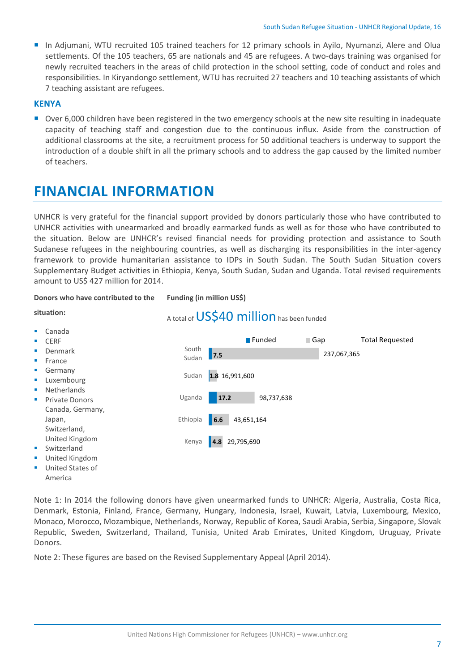In Adjumani, WTU recruited 105 trained teachers for 12 primary schools in Ayilo, Nyumanzi, Alere and Olua settlements. Of the 105 teachers, 65 are nationals and 45 are refugees. A two-days training was organised for newly recruited teachers in the areas of child protection in the school setting, code of conduct and roles and responsibilities. In Kiryandongo settlement, WTU has recruited 27 teachers and 10 teaching assistants of which 7 teaching assistant are refugees.

#### **KENYA**

Over 6,000 children have been registered in the two emergency schools at the new site resulting in inadequate capacity of teaching staff and congestion due to the continuous influx. Aside from the construction of additional classrooms at the site, a recruitment process for 50 additional teachers is underway to support the introduction of a double shift in all the primary schools and to address the gap caused by the limited number of teachers.

# **FINANCIAL INFORMATION**

**Donors who have contributed to the** 

UNHCR is very grateful for the financial support provided by donors particularly those who have contributed to UNHCR activities with unearmarked and broadly earmarked funds as well as for those who have contributed to the situation. Below are UNHCR's revised financial needs for providing protection and assistance to South Sudanese refugees in the neighbouring countries, as well as discharging its responsibilities in the inter-agency framework to provide humanitarian assistance to IDPs in South Sudan. The South Sudan Situation covers Supplementary Budget activities in Ethiopia, Kenya, South Sudan, Sudan and Uganda. Total revised requirements amount to US\$ 427 million for 2014.

| Donors who have contributed to the |                       | <b>FUNDING (IN MILLION USS)</b>           |                |                       |            |             |                        |
|------------------------------------|-----------------------|-------------------------------------------|----------------|-----------------------|------------|-------------|------------------------|
| situation:                         |                       | A total of US\$40 million has been funded |                |                       |            |             |                        |
| ш                                  | Canada                |                                           |                |                       |            |             |                        |
| ш                                  | <b>CERF</b>           |                                           |                | $\blacksquare$ Funded | $\Box$ Gap |             | <b>Total Requested</b> |
| ш                                  | Denmark               | South                                     | 7.5            |                       |            | 237,067,365 |                        |
| ш                                  | France                | Sudan                                     |                |                       |            |             |                        |
| ш                                  | Germany               |                                           |                |                       |            |             |                        |
| ш                                  | Luxembourg            | Sudan                                     | 1.8 16,991,600 |                       |            |             |                        |
| ш                                  | <b>Netherlands</b>    |                                           |                |                       |            |             |                        |
| ш                                  | <b>Private Donors</b> | Uganda                                    | 17.2           | 98,737,638            |            |             |                        |
|                                    | Canada, Germany,      |                                           |                |                       |            |             |                        |
|                                    | Japan,                | Ethiopia                                  | 6.6            | 43,651,164            |            |             |                        |
|                                    | Switzerland,          |                                           |                |                       |            |             |                        |
|                                    | United Kingdom        | Kenya                                     | <b>4.8</b>     | 29,795,690            |            |             |                        |
| <b>ST</b>                          | Switzerland           |                                           |                |                       |            |             |                        |
| ш                                  | United Kingdom        |                                           |                |                       |            |             |                        |
| ×                                  | United States of      |                                           |                |                       |            |             |                        |
|                                    | America               |                                           |                |                       |            |             |                        |

**Funding (in million US\$)**

Note 1: In 2014 the following donors have given unearmarked funds to UNHCR: Algeria, Australia, Costa Rica, Denmark, Estonia, Finland, France, Germany, Hungary, Indonesia, Israel, Kuwait, Latvia, Luxembourg, Mexico, Monaco, Morocco, Mozambique, Netherlands, Norway, Republic of Korea, Saudi Arabia, Serbia, Singapore, Slovak Republic, Sweden, Switzerland, Thailand, Tunisia, United Arab Emirates, United Kingdom, Uruguay, Private Donors.

Note 2: These figures are based on the Revised Supplementary Appeal (April 2014).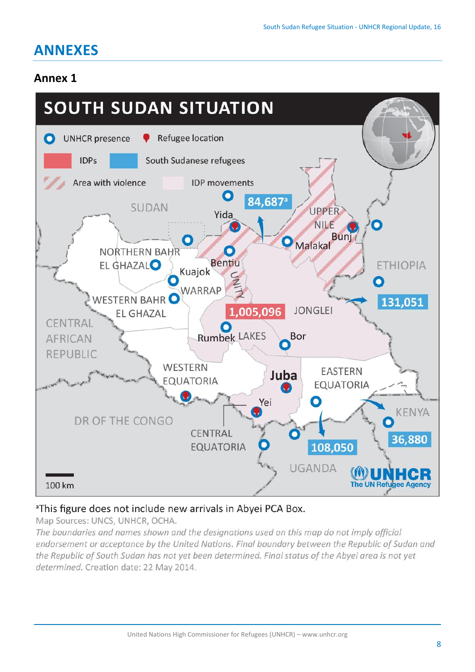# **ANNEXES**

### **Annex 1**



### <sup>a</sup>This figure does not include new arrivals in Abyei PCA Box.

Map Sources: UNCS, UNHCR, OCHA.

The boundaries and names shown and the designations used on this map do not imply official endorsement or acceptance by the United Nations. Final boundary between the Republic of Sudan and the Republic of South Sudan has not yet been determined. Final status of the Abyei area is not yet determined. Creation date: 22 May 2014.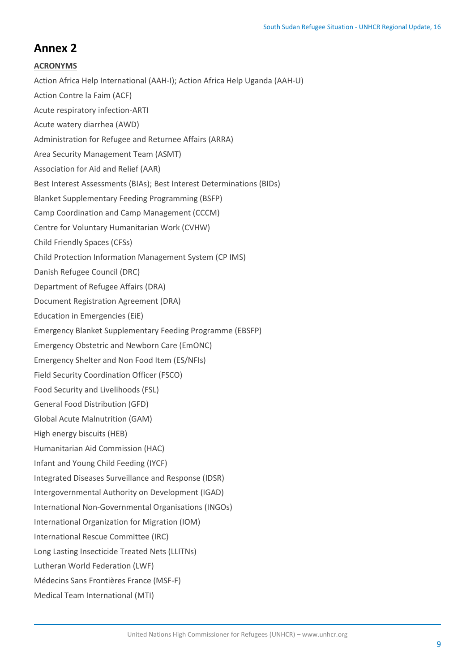### **Annex 2**

### **ACRONYMS**

Action Africa Help International (AAH-I); Action Africa Help Uganda (AAH-U) Action Contre la Faim (ACF) Acute respiratory infection-ARTI Acute watery diarrhea (AWD) Administration for Refugee and Returnee Affairs (ARRA) Area Security Management Team (ASMT) Association for Aid and Relief (AAR) Best Interest Assessments (BIAs); Best Interest Determinations (BIDs) Blanket Supplementary Feeding Programming (BSFP) Camp Coordination and Camp Management (CCCM) Centre for Voluntary Humanitarian Work (CVHW) Child Friendly Spaces (CFSs) Child Protection Information Management System (CP IMS) Danish Refugee Council (DRC) Department of Refugee Affairs (DRA) Document Registration Agreement (DRA) Education in Emergencies (EiE) Emergency Blanket Supplementary Feeding Programme (EBSFP) Emergency Obstetric and Newborn Care (EmONC) Emergency Shelter and Non Food Item (ES/NFIs) Field Security Coordination Officer (FSCO) Food Security and Livelihoods (FSL) General Food Distribution (GFD) Global Acute Malnutrition (GAM) High energy biscuits (HEB) Humanitarian Aid Commission (HAC) Infant and Young Child Feeding (IYCF) Integrated Diseases Surveillance and Response (IDSR) Intergovernmental Authority on Development (IGAD) International Non-Governmental Organisations (INGOs) International Organization for Migration (IOM) International Rescue Committee (IRC) Long Lasting Insecticide Treated Nets (LLITNs) Lutheran World Federation (LWF) Médecins Sans Frontières France (MSF-F) Medical Team International (MTI)